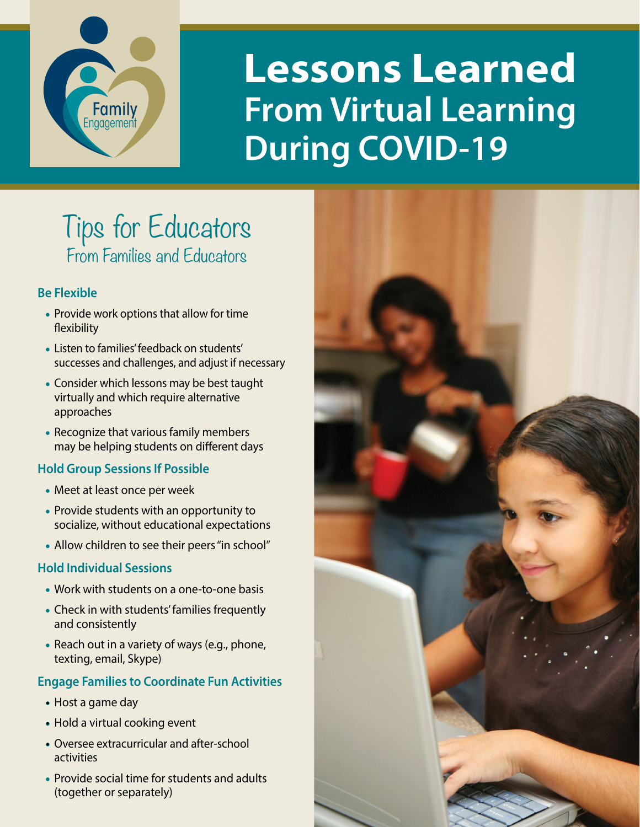

# **Lessons Learned From Virtual Learning During COVID-19**

# Tips for Educators From Families and Educators

# **Be Flexible**

- Provide work options that allow for time flexibility
- Listen to families' feedback on students' successes and challenges, and adjust if necessary
- Consider which lessons may be best taught virtually and which require alternative approaches
- Recognize that various family members may be helping students on different days

# **Hold Group Sessions If Possible**

- Meet at least once per week
- Provide students with an opportunity to socialize, without educational expectations
- Allow children to see their peers "in school"

#### **Hold Individual Sessions**

- Work with students on a one-to-one basis
- Check in with students' families frequently and consistently
- Reach out in a variety of ways (e.g., phone, texting, email, Skype)

# **Engage Families to Coordinate Fun Activities**

- Host a game day
- Hold a virtual cooking event
- Oversee extracurricular and after-school activities
- Provide social time for students and adults (together or separately)